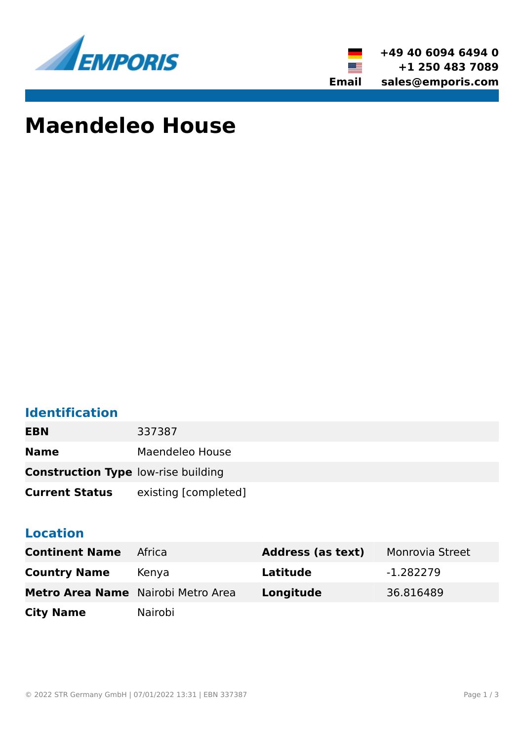



# **Maendeleo House**

### **Identification**

| <b>EBN</b>                                 | 337387               |
|--------------------------------------------|----------------------|
| <b>Name</b>                                | Maendeleo House      |
| <b>Construction Type low-rise building</b> |                      |
| <b>Current Status</b>                      | existing [completed] |

#### **Location**

| <b>Continent Name</b>              | Africa  | <b>Address (as text)</b> | Monrovia Street |
|------------------------------------|---------|--------------------------|-----------------|
| <b>Country Name</b>                | Kenya   | Latitude                 | -1.282279       |
| Metro Area Name Nairobi Metro Area |         | Longitude                | 36.816489       |
| <b>City Name</b>                   | Nairobi |                          |                 |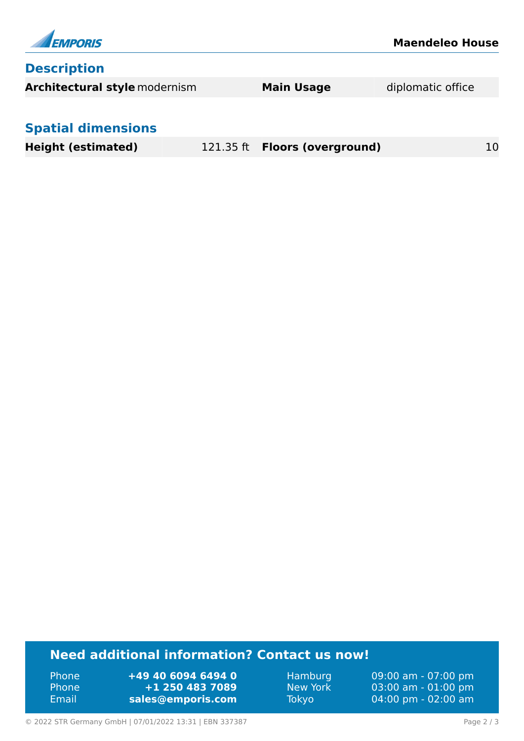

#### **Need additional information? Contact us now!**

Phone **+49 40 6094 6494 0** Phone **+1 250 483 7089** Email **<sales@emporis.com>**

Hamburg 09:00 am - 07:00 pm New York 03:00 am - 01:00 pm Tokyo 04:00 pm - 02:00 am